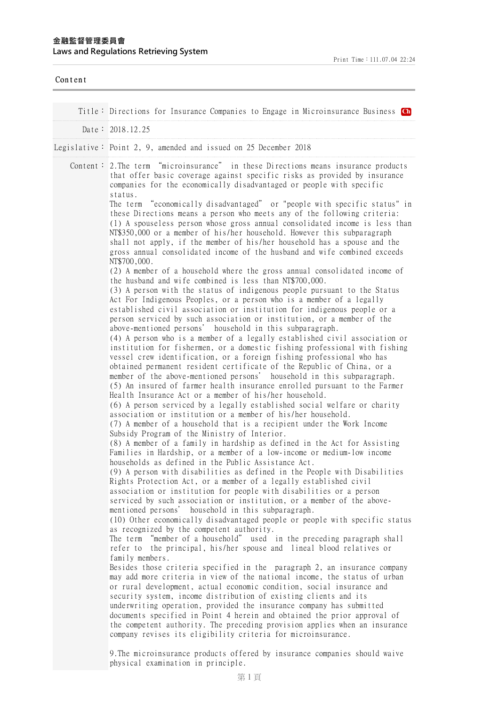| Content |                                                                                                                                                                                                                                                                                                                                                                                                                                                                                                                                                                                                                                                                                                                                                                                                                                                                                                                                                                                                                                                                                                                                                                                                                                                                                                                                                                                                                                                                                                                                                                                                                                                                                                                                                                                                                                                                                                                                                                                                                                                                                                                                                                                                                                                                                                                                                                                                                                                                                                                                                                                                                                                                                                                                                                                                                                                                                                                                                                                                                                                                                                                                                                                                                                                                                                                                                                                                                                                                                                                                                  |
|---------|--------------------------------------------------------------------------------------------------------------------------------------------------------------------------------------------------------------------------------------------------------------------------------------------------------------------------------------------------------------------------------------------------------------------------------------------------------------------------------------------------------------------------------------------------------------------------------------------------------------------------------------------------------------------------------------------------------------------------------------------------------------------------------------------------------------------------------------------------------------------------------------------------------------------------------------------------------------------------------------------------------------------------------------------------------------------------------------------------------------------------------------------------------------------------------------------------------------------------------------------------------------------------------------------------------------------------------------------------------------------------------------------------------------------------------------------------------------------------------------------------------------------------------------------------------------------------------------------------------------------------------------------------------------------------------------------------------------------------------------------------------------------------------------------------------------------------------------------------------------------------------------------------------------------------------------------------------------------------------------------------------------------------------------------------------------------------------------------------------------------------------------------------------------------------------------------------------------------------------------------------------------------------------------------------------------------------------------------------------------------------------------------------------------------------------------------------------------------------------------------------------------------------------------------------------------------------------------------------------------------------------------------------------------------------------------------------------------------------------------------------------------------------------------------------------------------------------------------------------------------------------------------------------------------------------------------------------------------------------------------------------------------------------------------------------------------------------------------------------------------------------------------------------------------------------------------------------------------------------------------------------------------------------------------------------------------------------------------------------------------------------------------------------------------------------------------------------------------------------------------------------------------------------------------------|
|         | Title: Directions for Insurance Companies to Engage in Microinsurance Business Ch                                                                                                                                                                                                                                                                                                                                                                                                                                                                                                                                                                                                                                                                                                                                                                                                                                                                                                                                                                                                                                                                                                                                                                                                                                                                                                                                                                                                                                                                                                                                                                                                                                                                                                                                                                                                                                                                                                                                                                                                                                                                                                                                                                                                                                                                                                                                                                                                                                                                                                                                                                                                                                                                                                                                                                                                                                                                                                                                                                                                                                                                                                                                                                                                                                                                                                                                                                                                                                                                |
|         | Date: 2018.12.25                                                                                                                                                                                                                                                                                                                                                                                                                                                                                                                                                                                                                                                                                                                                                                                                                                                                                                                                                                                                                                                                                                                                                                                                                                                                                                                                                                                                                                                                                                                                                                                                                                                                                                                                                                                                                                                                                                                                                                                                                                                                                                                                                                                                                                                                                                                                                                                                                                                                                                                                                                                                                                                                                                                                                                                                                                                                                                                                                                                                                                                                                                                                                                                                                                                                                                                                                                                                                                                                                                                                 |
|         | Legislative: Point 2, 9, amended and issued on 25 December 2018                                                                                                                                                                                                                                                                                                                                                                                                                                                                                                                                                                                                                                                                                                                                                                                                                                                                                                                                                                                                                                                                                                                                                                                                                                                                                                                                                                                                                                                                                                                                                                                                                                                                                                                                                                                                                                                                                                                                                                                                                                                                                                                                                                                                                                                                                                                                                                                                                                                                                                                                                                                                                                                                                                                                                                                                                                                                                                                                                                                                                                                                                                                                                                                                                                                                                                                                                                                                                                                                                  |
|         | Content: 2. The term "microinsurance" in these Directions means insurance products<br>that offer basic coverage against specific risks as provided by insurance<br>companies for the economically disadvantaged or people with specific<br>status.<br>The term "economically disadvantaged" or "people with specific status" in<br>these Directions means a person who meets any of the following criteria:<br>(1) A spouseless person whose gross annual consolidated income is less than<br>NT\$350,000 or a member of his/her household. However this subparagraph<br>shall not apply, if the member of his/her household has a spouse and the<br>gross annual consolidated income of the husband and wife combined exceeds<br>NT\$700,000.<br>(2) A member of a household where the gross annual consolidated income of<br>the husband and wife combined is less than NT\$700,000.<br>(3) A person with the status of indigenous people pursuant to the Status<br>Act For Indigenous Peoples, or a person who is a member of a legally<br>established civil association or institution for indigenous people or a<br>person serviced by such association or institution, or a member of the<br>above-mentioned persons' household in this subparagraph.<br>(4) A person who is a member of a legally established civil association or<br>institution for fishermen, or a domestic fishing professional with fishing<br>vessel crew identification, or a foreign fishing professional who has<br>obtained permanent resident certificate of the Republic of China, or a<br>member of the above-mentioned persons' household in this subparagraph.<br>(5) An insured of farmer health insurance enrolled pursuant to the Farmer<br>Health Insurance Act or a member of his/her household.<br>(6) A person serviced by a legally established social welfare or charity<br>association or institution or a member of his/her household.<br>(7) A member of a household that is a recipient under the Work Income<br>Subsidy Program of the Ministry of Interior.<br>(8) A member of a family in hardship as defined in the Act for Assisting<br>Families in Hardship, or a member of a low-income or medium-low income<br>households as defined in the Public Assistance Act.<br>(9) A person with disabilities as defined in the People with Disabilities<br>Rights Protection Act, or a member of a legally established civil<br>association or institution for people with disabilities or a person<br>serviced by such association or institution, or a member of the above-<br>mentioned persons' household in this subparagraph.<br>(10) Other economically disadvantaged people or people with specific status<br>as recognized by the competent authority.<br>The term "member of a household" used in the preceding paragraph shall<br>refer to the principal, his/her spouse and lineal blood relatives or<br>family members.<br>Besides those criteria specified in the paragraph 2, an insurance company<br>may add more criteria in view of the national income, the status of urban<br>or rural development, actual economic condition, social insurance and<br>security system, income distribution of existing clients and its<br>underwriting operation, provided the insurance company has submitted<br>documents specified in Point 4 herein and obtained the prior approval of<br>the competent authority. The preceding provision applies when an insurance<br>company revises its eligibility criteria for microinsurance. |

physical examination in principle.